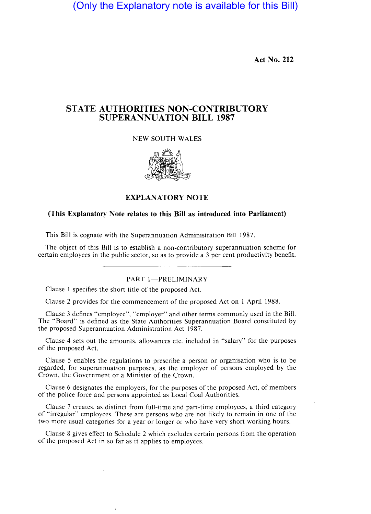(Only the Explanatory note is available for this Bill)

Act No. 212

# STATE AUTHORITIES NON-CONTRIBUTORY SUPERANNUATION **BILL** 1987

# NEW SOUTH WALES



#### EXPLANATORY NOTE

# (This Explanatory Note relates to this Bill as introduced into Parliament)

This Bill is cognate with the Superannuation Administration Bill 1987.

The object of this Bill is to establish a non-contributory superannuation scheme for certain employees in the public sector, so as to provide a 3 per cent productivity benefit.

# PART 1-PRELIMINARY

Clause I specifies the short title of the proposed Act.

 $\cdot$ 

Clause 2 provides for the commencement of the proposed Act on I April 1988.

Clause 3 defines "employee", "employer" and other terms commonly used in the Bill. The "Board" is defined as the State Authorities Superannuation Board constituted by the proposed Superannuation Administration Act 1987.

Clause 4 sets out the amounts, allowances etc. included in "salary" for the purposes of the proposed Act.

Clause 5 enables the regulations to prescribe a person or organisation who is to be regarded, for superannuation purposes, as the employer of persons employed by the Crown, the Government or a Minister of the Crown.

Clause 6 designates the employers, for the purposes of the proposed Act, of members of the police force and persons appointed as Local Coal Authorities.

Clause 7 creates, as distinct from full-time and part-time employees, a third category of "irregular" employees. These are persons who are not likely to remain in one of the two more usual categories for a year or longer or who have very short working hours.

Clause 8 gives effect to Schedule 2 which excludes certain persons from the operation of the proposed Act in so far as it applies to employees.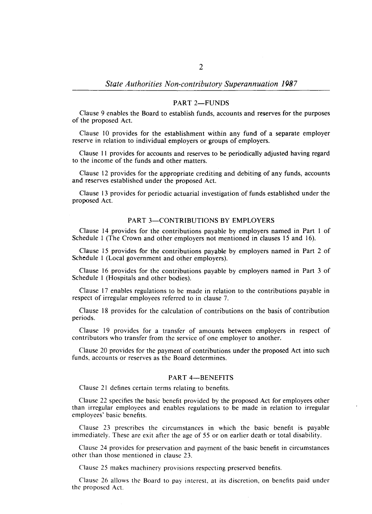#### PART 2-FUNDS

Clause 9 enables the Board to establish funds, accounts and reserves for the purposes of the proposed Act.

Clause 10 provides for the establishment within any fund of a separate employer reserve in relation to individual employers or groups of employers.

Clause II provides for accounts and reserves to be periodically adjusted having regard to the income of the funds and other matters.

Clause 12 provides for the appropriate crediting and debiting of any funds, accounts and reserves established under the proposed Act.

Clause 13 provides for periodic actuarial investigation of funds established under the proposed Act.

#### PART 3-CONTRIBUTIONS BY EMPLOYERS

Clause 14 provides for the contributions payable by employers named in Part 1 of Schedule I (The Crown and other employers not mentioned in clauses 15 and 16).

Clause 15 provides for the contributions payable by employers named in Part 2 of Schedule I (Local government and other employers).

Clause 16 provides for the contributions payable by employers named in Part 3 of Schedule I (Hospitals and other bodies).

Clause 17 enables regulations to be made in relation to the contributions payable in respect of irregular employees referred to in clause 7.

Clause 18 provides for the calculation of contributions on the basis of contribution periods.

Clause 19 provides for a transfer of amounts between employers in respect of contributors who transfer from the service of one employer to another.

Clause 20 provides for the payment of contributions under the proposed Act into such funds, accounts or reserves as the Board determines.

### PART 4-BENEFITS

Clause 21 defines certain terms relating to benefits.

Clause 22 specifies the basic benefit provided by the proposed Act for employees other than irregular employees and enables regulations to be made in relation to irregular employees' basic benefits.

Clause 23 prescribes the circumstances in which the basic benefit is payable immediately. These are exit after the age of 55 or on earlier death or total disability.

Clause 24 provides for preservation and payment of the basic benefit in circumstances other than those mentioned in clause 23.

Clause 25 makes machinery provisions respecting preserved benefits.

Clause 26 allows the Board to pay interest, at its discretion, on benefits paid under the proposed Act.